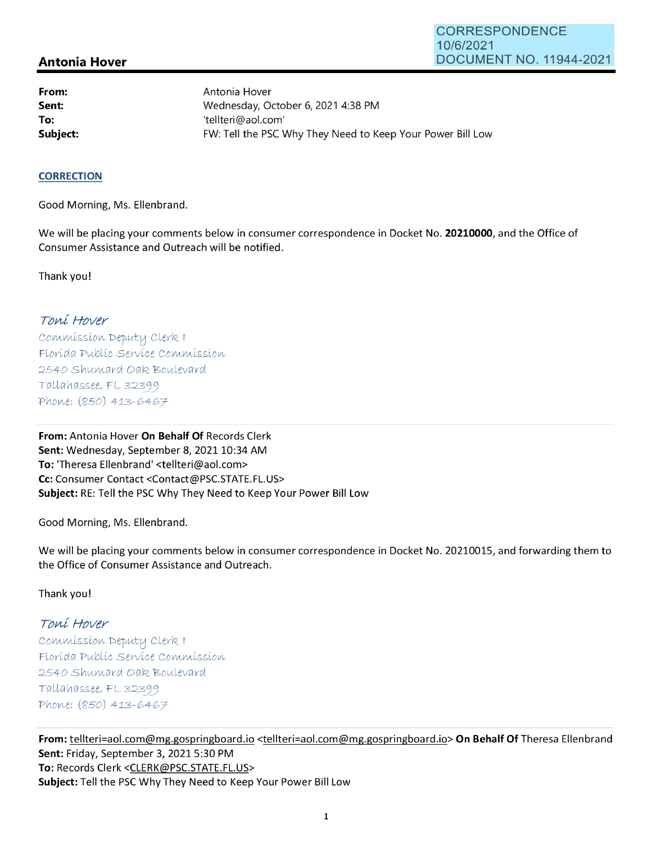## **Antonia Hover**

**From: Sent: To:** 

Antonia Hover Wednesday, October 6, 2021 4:38 PM 'tellteri@aol.com' **Subject: EXALG:** FW: Tell the PSC Why They Need to Keep Your Power Bill Low

#### **CORRECTION**

Good Morning, Ms. Ellenbrand.

We will be placing your comments below in consumer correspondence in Docket No. **20210000,** and the Office of Consumer Assistance and Outreach will be notified.

Thank you!

## Toní Hover

Commission Deputy Clerk I Florída Publíc Service Commission 2540 Shumard Oak Boulevard  $Tallahasse, FL 32399$ Phone: (850) 413-6467

**From:** Antonia Hover **On Behalf Of** Records Clerk Sent: Wednesday, September 8, 2021 10:34 AM **To:** 'Theresa Ellenbrand' <tellteri@aol.com> **Cc:** Consumer Contact <Contact@PSC.STATE.FL.US> **Subject:** RE: Tell the PSC Why They Need to Keep Your Power Bill Low

Good Morning, Ms. Ellenbrand.

We will be placing your comments below in consumer correspondence in Docket No. 20210015, and forwarding them to the Office of Consumer Assistance and Outreach.

Thank you!

# Toní Hover

 $Commission$  Deputy Clerk I Florída Publíc Servíce Commission 2540 Shumard Oak Boulevard  $Tallahasse, FL 32399$ Phone: (850) 413-6467

**From:** tellteri=aol.com@mg.gospringboard.io <tellteri=aol.com@mg.gospringboard.io> **On Behalf Of** Theresa Ellen brand **Sent:** Friday, September 3, 2021 5:30 PM **To:** Records Clerk <CLERK@PSC.STATE.FL.US> **Subject:** Tell the PSC Why They Need to Keep Your Power Bill Low